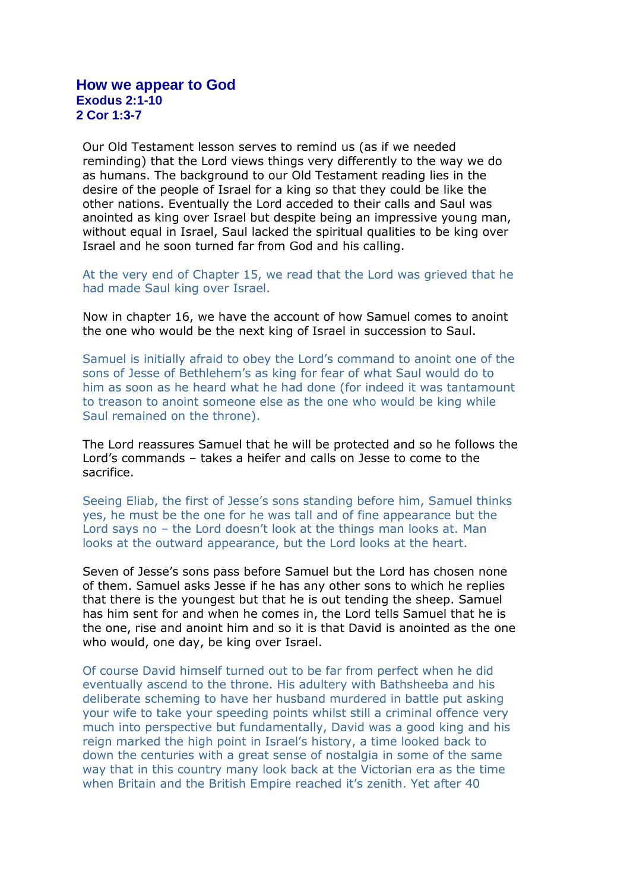## **How we appear to God Exodus 2:1-10 2 Cor 1:3-7**

Our Old Testament lesson serves to remind us (as if we needed reminding) that the Lord views things very differently to the way we do as humans. The background to our Old Testament reading lies in the desire of the people of Israel for a king so that they could be like the other nations. Eventually the Lord acceded to their calls and Saul was anointed as king over Israel but despite being an impressive young man, without equal in Israel, Saul lacked the spiritual qualities to be king over Israel and he soon turned far from God and his calling.

At the very end of Chapter 15, we read that the Lord was grieved that he had made Saul king over Israel.

Now in chapter 16, we have the account of how Samuel comes to anoint the one who would be the next king of Israel in succession to Saul.

Samuel is initially afraid to obey the Lord's command to anoint one of the sons of Jesse of Bethlehem's as king for fear of what Saul would do to him as soon as he heard what he had done (for indeed it was tantamount to treason to anoint someone else as the one who would be king while Saul remained on the throne).

The Lord reassures Samuel that he will be protected and so he follows the Lord's commands – takes a heifer and calls on Jesse to come to the sacrifice.

Seeing Eliab, the first of Jesse's sons standing before him, Samuel thinks yes, he must be the one for he was tall and of fine appearance but the Lord says no – the Lord doesn't look at the things man looks at. Man looks at the outward appearance, but the Lord looks at the heart.

Seven of Jesse's sons pass before Samuel but the Lord has chosen none of them. Samuel asks Jesse if he has any other sons to which he replies that there is the youngest but that he is out tending the sheep. Samuel has him sent for and when he comes in, the Lord tells Samuel that he is the one, rise and anoint him and so it is that David is anointed as the one who would, one day, be king over Israel.

Of course David himself turned out to be far from perfect when he did eventually ascend to the throne. His adultery with Bathsheeba and his deliberate scheming to have her husband murdered in battle put asking your wife to take your speeding points whilst still a criminal offence very much into perspective but fundamentally, David was a good king and his reign marked the high point in Israel's history, a time looked back to down the centuries with a great sense of nostalgia in some of the same way that in this country many look back at the Victorian era as the time when Britain and the British Empire reached it's zenith. Yet after 40